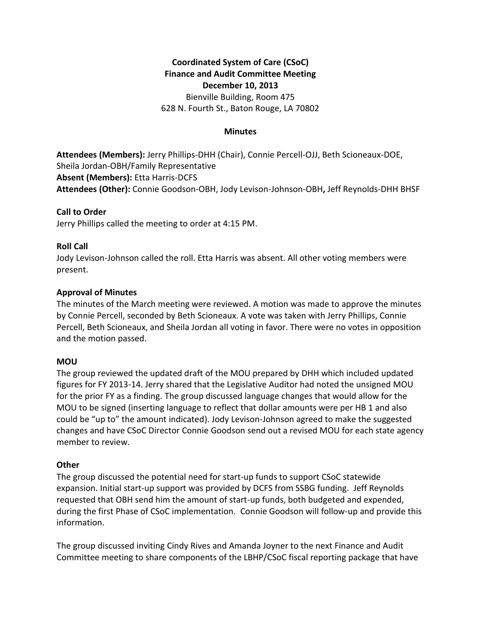# **Coordinated System of Care (CSoC) Finance and Audit Committee Meeting December 10, 2013** Bienville Building, Room 475

628 N. Fourth St., Baton Rouge, LA 70802

#### **Minutes**

**Attendees (Members):** Jerry Phillips-DHH (Chair), Connie Percell-OJJ, Beth Scioneaux-DOE, Sheila Jordan-OBH/Family Representative **Absent (Members):** Etta Harris-DCFS **Attendees (Other):** Connie Goodson-OBH, Jody Levison-Johnson-OBH**,** Jeff Reynolds-DHH BHSF

### **Call to Order**

Jerry Phillips called the meeting to order at 4:15 PM.

## **Roll Call**

Jody Levison-Johnson called the roll. Etta Harris was absent. All other voting members were present.

## **Approval of Minutes**

The minutes of the March meeting were reviewed. A motion was made to approve the minutes by Connie Percell, seconded by Beth Scioneaux. A vote was taken with Jerry Phillips, Connie Percell, Beth Scioneaux, and Sheila Jordan all voting in favor. There were no votes in opposition and the motion passed.

# **MOU**

The group reviewed the updated draft of the MOU prepared by DHH which included updated figures for FY 2013-14. Jerry shared that the Legislative Auditor had noted the unsigned MOU for the prior FY as a finding. The group discussed language changes that would allow for the MOU to be signed (inserting language to reflect that dollar amounts were per HB 1 and also could be "up to" the amount indicated). Jody Levison-Johnson agreed to make the suggested changes and have CSoC Director Connie Goodson send out a revised MOU for each state agency member to review.

# **Other**

The group discussed the potential need for start-up funds to support CSoC statewide expansion. Initial start-up support was provided by DCFS from SSBG funding. Jeff Reynolds requested that OBH send him the amount of start-up funds, both budgeted and expended, during the first Phase of CSoC implementation. Connie Goodson will follow-up and provide this information.

The group discussed inviting Cindy Rives and Amanda Joyner to the next Finance and Audit Committee meeting to share components of the LBHP/CSoC fiscal reporting package that have